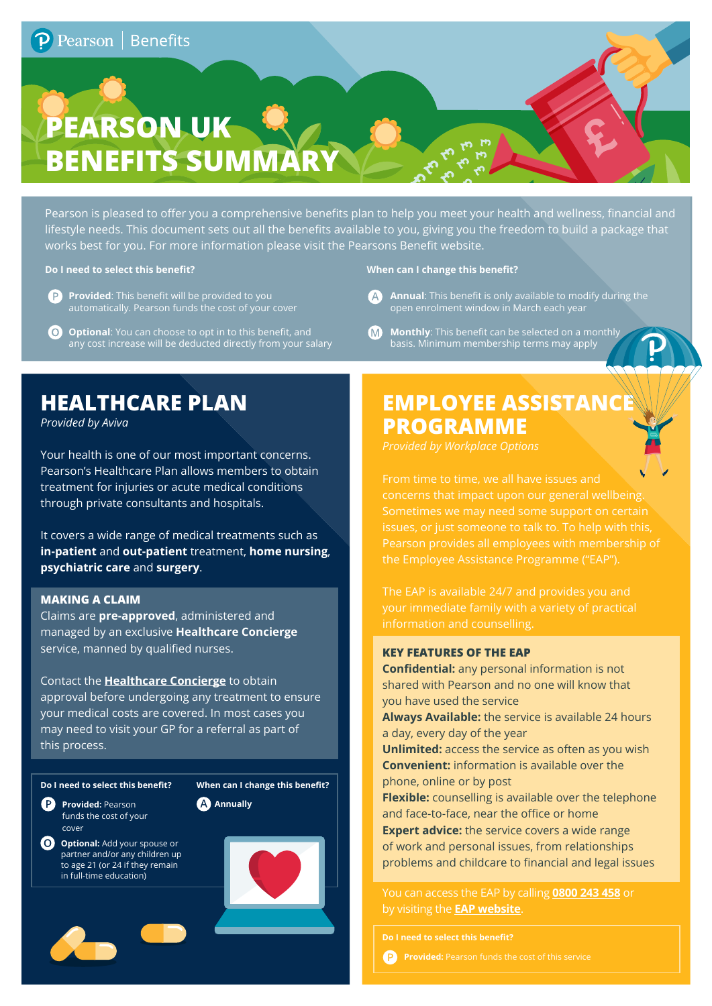# **PEARSON UK & BENEFITS SUMMARY**

Pearson is pleased to offer you a comprehensive benefits plan to help you meet your health and wellness, financial and lifestyle needs. This document sets out all the benefits available to you, giving you the freedom to build a package that works best for you. For more information please visit the Pearsons Benefit website.

#### **Do I need to select this benefit? When can I change this benefit?**

- **P** Provided: This benefit will be provided to you automatically. Pearson funds the cost of your cover
- 6 **Optional**: You can choose to opt in to this benefit, and any cost increase will be deducted directly from your salary

- A **Annual**: This benefit is only available to modify during the open enrolment window in March each year
- $\Omega$ **Monthly**: This benefit can be selected on a monthly basis. Minimum membership terms may apply

### **HEALTHCARE PLAN**

*Provided by Aviva*

Your health is one of our most important concerns. Pearson's Healthcare Plan allows members to obtain treatment for injuries or acute medical conditions through private consultants and hospitals.

It covers a wide range of medical treatments such as **in-patient** and **out-patient** treatment, **home nursing**, **psychiatric care** and **surgery**.

#### **MAKING A CLAIM**

Claims are **pre-approved**, administered and managed by an exclusive **Healthcare Concierge** service, manned by qualified nurses.

Contact the **Healthcare Concierge** to obtain approval before undergoing any treatment to ensure your medical costs are covered. In most cases you may need to visit your GP for a referral as part of this process.

#### **Do I need to select this benefit? When can I change this benefit?**

**P** Provided: Pearson funds the cost of your cover

**O** Optional: Add your spouse or partner and/or any children up to age 21 (or 24 if they remain in full-time education)



## **EMPLOYEE ASSISTANCE PROGRAMME**

From time to time, we all have issues and concerns that impact upon our general wellbeing. Sometimes we may need some support on certain Pearson provides all employees with membership of the Employee Assistance Programme ("EAP").

information and counselling.

#### **KEY FEATURES OF THE EAP**

**Confidential:** any personal information is not shared with Pearson and no one will know that you have used the service

**Always Available:** the service is available 24 hours a day, every day of the year

**Unlimited:** access the service as often as you wish **Convenient:** information is available over the phone, online or by post

**Flexible:** counselling is available over the telephone and face-to-face, near the office or home

**Expert advice:** the service covers a wide range of work and personal issues, from relationships problems and childcare to financial and legal issues

You can access the EAP by calling **0800 243 458** or by visiting the **EAP website**.

**Do I need to select this benefit?**

**P** Provided: Pearson funds the cost of this service

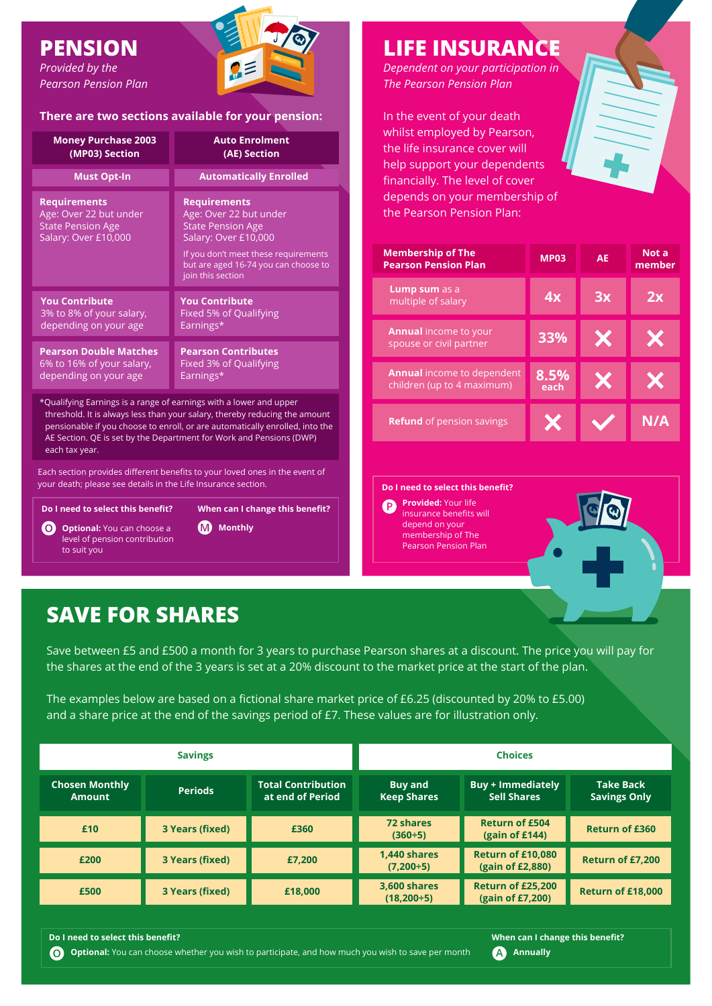### **PENSION**

*Provided by the Pearson Pension Plan*



#### **There are two sections available for your pension:**

| <b>Money Purchase 2003</b>                                                                        | <b>Auto Enrolment</b>                                                                                                                                                                                  |  |  |  |
|---------------------------------------------------------------------------------------------------|--------------------------------------------------------------------------------------------------------------------------------------------------------------------------------------------------------|--|--|--|
| (MP03) Section                                                                                    | (AE) Section                                                                                                                                                                                           |  |  |  |
| <b>Must Opt-In</b>                                                                                | <b>Automatically Enrolled</b>                                                                                                                                                                          |  |  |  |
| <b>Requirements</b><br>Age: Over 22 but under<br><b>State Pension Age</b><br>Salary: Over £10,000 | <b>Requirements</b><br>Age: Over 22 but under<br><b>State Pension Age</b><br>Salary: Over £10,000<br>If you don't meet these requirements<br>but are aged 16-74 you can choose to<br>join this section |  |  |  |
| <b>You Contribute</b>                                                                             | <b>You Contribute</b>                                                                                                                                                                                  |  |  |  |
| 3% to 8% of your salary,                                                                          | <b>Fixed 5% of Qualifying</b>                                                                                                                                                                          |  |  |  |
| depending on your age                                                                             | Earnings*                                                                                                                                                                                              |  |  |  |
| <b>Pearson Double Matches</b>                                                                     | <b>Pearson Contributes</b>                                                                                                                                                                             |  |  |  |
| 6% to 16% of your salary,                                                                         | Fixed 3% of Qualifying                                                                                                                                                                                 |  |  |  |
| depending on your age                                                                             | Earnings*                                                                                                                                                                                              |  |  |  |
| $*$ Oualificiae Earpines is a rones of corpines with a lower and unpar                            |                                                                                                                                                                                                        |  |  |  |

\*Qualifying Earnings is a range of earnings with a lower and upper threshold. It is always less than your salary, thereby reducing the amount pensionable if you choose to enroll, or are automatically enrolled, into the AE Section. QE is set by the Department for Work and Pensions (DWP) each tax year.

Each section provides different benefits to your loved ones in the event of your death; please see details in the Life Insurance section.

**Do I need to select this benefit?**

**O** Optional: You can choose a level of pension contribution to suit you

**When can I change this benefit?**

**M** Monthly

**LIFE INSURANCE**

*Dependent on your participation in The Pearson Pension Plan*

In the event of your death whilst employed by Pearson, the life insurance cover will help support your dependents financially. The level of cover depends on your membership of the Pearson Pension Plan:

| <b>Membership of The</b><br><b>Pearson Pension Plan</b>         | <b>MP03</b>  | AE | Not a<br>member |
|-----------------------------------------------------------------|--------------|----|-----------------|
| <b>Lump sum</b> as a<br>multiple of salary                      | 4x           | 3x | 2х              |
| <b>Annual income to your</b><br>spouse or civil partner         | 33%          |    |                 |
| <b>Annual</b> income to dependent<br>children (up to 4 maximum) | 8.5%<br>each | Х  |                 |
| <b>Refund</b> of pension savings                                |              |    | N/A             |

**Do I need to select this benefit?**

**Provided:** Your life  $\bigcirc$ insurance benefits will depend on your membership of The Pearson Pension Plan



### **SAVE FOR SHARES**

Save between £5 and £500 a month for 3 years to purchase Pearson shares at a discount. The price you will pay for the shares at the end of the 3 years is set at a 20% discount to the market price at the start of the plan.

The examples below are based on a fictional share market price of £6.25 (discounted by 20% to £5.00) and a share price at the end of the savings period of £7. These values are for illustration only.

| <b>Savings</b>                         |                 | <b>Choices</b>                                |                                          |                                                |                                         |
|----------------------------------------|-----------------|-----------------------------------------------|------------------------------------------|------------------------------------------------|-----------------------------------------|
| <b>Chosen Monthly</b><br><b>Amount</b> | <b>Periods</b>  | <b>Total Contribution</b><br>at end of Period | <b>Buy and</b><br><b>Keep Shares</b>     | <b>Buy + Immediately</b><br><b>Sell Shares</b> | <b>Take Back</b><br><b>Savings Only</b> |
| £10                                    | 3 Years (fixed) | £360                                          | <b>72 shares</b><br>$(360 \div 5)$       | <b>Return of £504</b><br>(gain of £144)        | <b>Return of £360</b>                   |
| £200                                   | 3 Years (fixed) | £7,200                                        | 1,440 shares<br>$(7,200+5)$              | Return of £10,080<br>(gain of £2,880)          | Return of £7,200                        |
| £500                                   | 3 Years (fixed) | £18,000                                       | <b>3,600 shares</b><br>$(18,200 \div 5)$ | Return of £25,200<br>(gain of £7,200)          | Return of £18,000                       |

**O** Optional: You can choose whether you wish to participate, and how much you wish to save per month **A** Annually

**Do I need to select this benefit? When can I change this benefit?**